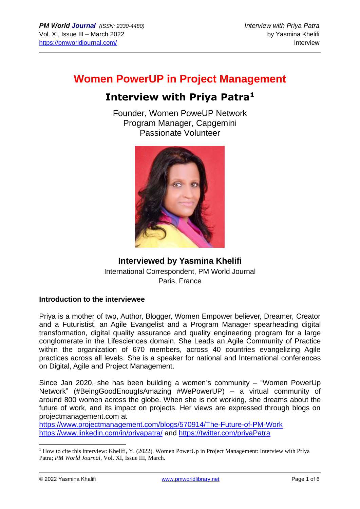# **Women PowerUP in Project Management**

# **Interview with Priya Patra<sup>1</sup>**

Founder, Women PoweUP Network Program Manager, Capgemini Passionate Volunteer



# **Interviewed by Yasmina Khelifi** International Correspondent, PM World Journal Paris, France

## **Introduction to the interviewee**

Priya is a mother of two, Author, Blogger, Women Empower believer, Dreamer, Creator and a Futuristist, an Agile Evangelist and a Program Manager spearheading digital transformation, digital quality assurance and quality engineering program for a large conglomerate in the Lifesciences domain. She Leads an Agile Community of Practice within the organization of 670 members, across 40 countries evangelizing Agile practices across all levels. She is a speaker for national and International conferences on Digital, Agile and Project Management.

Since Jan 2020, she has been building a women's community – "Women PowerUp Network" (#BeingGoodEnougIsAmazing #WePowerUP) – a virtual community of around 800 women across the globe. When she is not working, she dreams about the future of work, and its impact on projects. Her views are expressed through blogs on projectmanagement.com at

<https://www.projectmanagement.com/blogs/570914/The-Future-of-PM-Work> <https://www.linkedin.com/in/priyapatra/> and<https://twitter.com/priyaPatra>

<sup>&</sup>lt;sup>1</sup> How to cite this interview: Khelifi, Y. (2022). Women PowerUp in Project Management: Interview with Priya Patra; *PM World Journal*, Vol. XI, Issue III, March.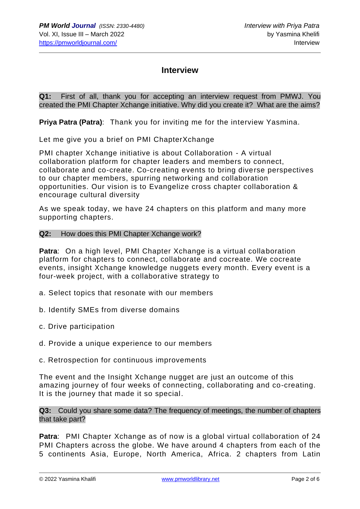# **Interview**

**Q1:** First of all, thank you for accepting an interview request from PMWJ. You created the PMI Chapter Xchange initiative. Why did you create it? What are the aims?

**Priya Patra (Patra)**: Thank you for inviting me for the interview Yasmina.

Let me give you a brief on PMI ChapterXchange

PMI chapter Xchange initiative is about Collaboration - A virtual collaboration platform for chapter leaders and members to connect, collaborate and co-create. Co-creating events to bring diverse perspectives to our chapter members, spurring networking and collaboration opportunities. Our vision is to Evangelize cross chapter collaboration & encourage cultural diversity

As we speak today, we have 24 chapters on this platform and many more supporting chapters.

#### **Q2:** How does this PMI Chapter Xchange work?

**Patra**: On a high level, PMI Chapter Xchange is a virtual collaboration platform for chapters to connect, collaborate and cocreate. We cocreate events, insight Xchange knowledge nuggets every month. Every event is a four-week project, with a collaborative strategy to

- a. Select topics that resonate with our members
- b. Identify SMEs from diverse domains
- c. Drive participation
- d. Provide a unique experience to our members
- c. Retrospection for continuous improvements

The event and the Insight Xchange nugget are just an outcome of this amazing journey of four weeks of connecting, collaborating and co-creating. It is the journey that made it so special.

**Q3:** Could you share some data? The frequency of meetings, the number of chapters that take part?

**Patra**: PMI Chapter Xchange as of now is a global virtual collaboration of 24 PMI Chapters across the globe. We have around 4 chapters from each of the 5 continents Asia, Europe, North America, Africa. 2 chapters from Latin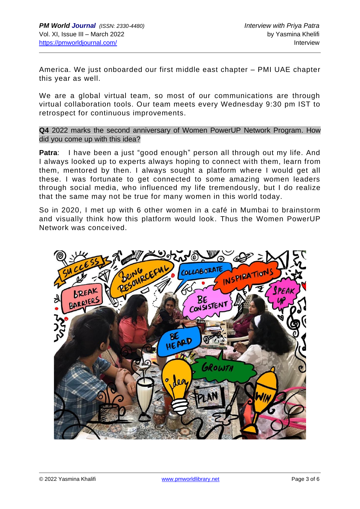America. We just onboarded our first middle east chapter – PMI UAE chapter this year as well.

We are a global virtual team, so most of our communications are through virtual collaboration tools. Our team meets every Wednesday 9:30 pm IST to retrospect for continuous improvements.

**Q4** 2022 marks the second anniversary of Women PowerUP Network Program. How did you come up with this idea?

**Patra**: I have been a just "good enough" person all through out my life. And I always looked up to experts always hoping to connect with them, learn from them, mentored by then. I always sought a platform where I would get all these. I was fortunate to get connected to some amazing women leaders through social media, who influenced my life tremendously, but I do realize that the same may not be true for many women in this world today.

So in 2020, I met up with 6 other women in a café in Mumbai to brainstorm and visually think how this platform would look. Thus the Women PowerUP Network was conceived.

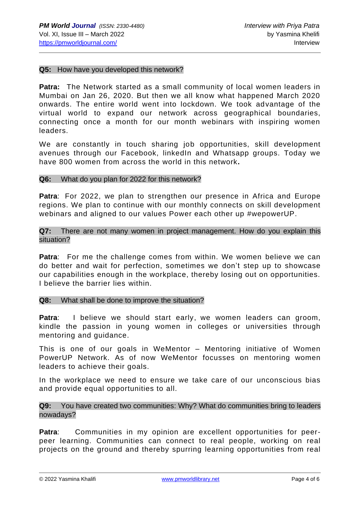#### **Q5:** How have you developed this network?

**Patra:** The Network started as a small community of local women leaders in Mumbai on Jan 26, 2020. But then we all know what happened March 2020 onwards. The entire world went into lockdown. We took advantage of the virtual world to expand our network across geographical boundaries, connecting once a month for our month webinars with inspiring women leaders.

We are constantly in touch sharing job opportunities, skill development avenues through our Facebook, linkedIn and Whatsapp groups. Today we have 800 women from across the world in this network**.**

#### **Q6:** What do you plan for 2022 for this network?

**Patra**: For 2022, we plan to strengthen our presence in Africa and Europe regions. We plan to continue with our monthly connects on skill development webinars and aligned to our values Power each other up #wepowerUP.

## **Q7:** There are not many women in project management. How do you explain this situation?

**Patra**: For me the challenge comes from within. We women believe we can do better and wait for perfection, sometimes we don't step up to showcase our capabilities enough in the workplace, thereby losing out on opportunities. I believe the barrier lies within.

#### **Q8:** What shall be done to improve the situation?

Patra: I believe we should start early, we women leaders can groom, kindle the passion in young women in colleges or universities through mentoring and guidance.

This is one of our goals in WeMentor – Mentoring initiative of Women PowerUP Network. As of now WeMentor focusses on mentoring women leaders to achieve their goals.

In the workplace we need to ensure we take care of our unconscious bias and provide equal opportunities to all.

### **Q9:** You have created two communities: Why? What do communities bring to leaders nowadays?

**Patra**: Communities in my opinion are excellent opportunities for peerpeer learning. Communities can connect to real people, working on real projects on the ground and thereby spurring learning opportunities from real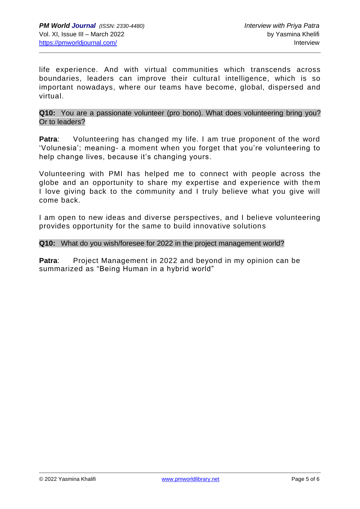life experience. And with virtual communities which transcends across boundaries, leaders can improve their cultural intelligence, which is so important nowadays, where our teams have become, global, dispersed and virtual.

**Q10:** You are a passionate volunteer (pro bono). What does volunteering bring you? Or to leaders?

**Patra:** Volunteering has changed my life. I am true proponent of the word 'Volunesia'; meaning- a moment when you forget that you're volunteering to help change lives, because it's changing yours.

Volunteering with PMI has helped me to connect with people across the globe and an opportunity to share my expertise and experience with them I love giving back to the community and I truly believe what you give will come back.

I am open to new ideas and diverse perspectives, and I believe volunteering provides opportunity for the same to build innovative solutions

### **Q10:** What do you wish/foresee for 2022 in the project management world?

**Patra:** Project Management in 2022 and beyond in my opinion can be summarized as "Being Human in a hybrid world"